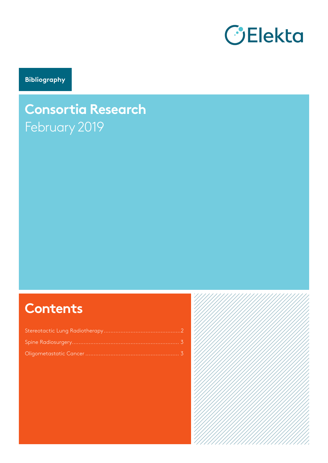

**Bibliography**

# **Consortia Research** February 2019

# **Contents**

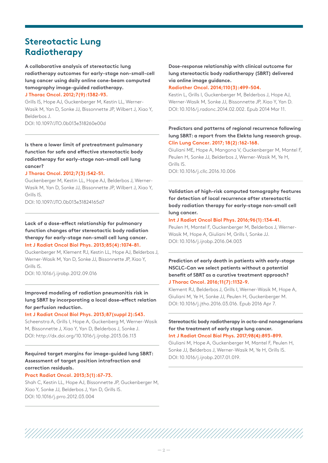## **Stereotactic Lung Radiotherapy**

**A collaborative analysis of stereotactic lung radiotherapy outcomes for early-stage non-small-cell lung cancer using daily online cone-beam computed tomography image-guided radiotherapy.**

#### **J Thorac Oncol. 2012;7(9):1382-93.**

Grills IS, Hope AJ, Guckenberger M, Kestin LL, Werner-Wasik M, Yan D, Sonke JJ, Bissonnette JP, Wilbert J, Xiao Y, Belderbos J. DOI: 10.1097/JTO.0b013e318260e00d

**Is there a lower limit of pretreatment pulmonary function for safe and effective stereotactic body radiotherapy for early-stage non-small cell lung cancer?**

#### **J Thorac Oncol. 2012;7(3):542-51.**

Guckenberger M, Kestin LL, Hope AJ, Belderbos J, Werner-Wasik M, Yan D, Sonke JJ, Bissonnette JP, Wilbert J, Xiao Y, Grills IS.

DOI: 10.1097/JTO.0b013e31824165d7

#### **Lack of a dose-effect relationship for pulmonary function changes after stereotactic body radiation therapy for early-stage non-small cell lung cancer. Int J Radiat Oncol Biol Phys. 2013;85(4):1074-81.**

Guckenberger M, Klement RJ, Kestin LL, Hope AJ, Belderbos J, Werner-Wasik M, Yan D, Sonke JJ, Bissonnette JP, Xiao Y, Grills IS.

DOI: 10.1016/j.ijrobp.2012.09.016

#### **Improved modeling of radiation pneumonitis risk in lung SBRT by incorporating a local dose–effect relation for perfusion reduction.**

#### **Int J Radiat Oncol Biol Phys. 2013;87(suppl 2):S43.**

Scheenstra A, Grills I, Hope A, Guckenberg M, Werner-Wasik M, Bissonnette J, Xiao Y, Yan D, Belderbos J, Sonke J. DOI: http://dx.doi.org/10.1016/j.ijrobp.2013.06.113

#### **Required target margins for image-guided lung SBRT: Assessment of target position intrafraction and correction residuals.**

#### **Pract Radiat Oncol. 2013;3(1):67-73.**

Shah C, Kestin LL, Hope AJ, Bissonnette JP, Guckenberger M, Xiao Y, Sonke JJ, Belderbos J, Yan D, Grills IS. DOI: 10.1016/j.prro.2012.03.004

#### **Dose-response relationship with clinical outcome for lung stereotactic body radiotherapy (SBRT) delivered via online image guidance.**

#### **Radiother Oncol. 2014;110(3):499-504.**

Kestin L, Grills I, Guckenberger M, Belderbos J, Hope AJ, Werner-Wasik M, Sonke JJ, Bissonnette JP, Xiao Y, Yan D. DOI: 10.1016/j.radonc.2014.02.002. Epub 2014 Mar 11.

#### **Predictors and patterns of regional recurrence following lung SBRT: a report from the Elekta lung research group. Clin Lung Cancer. 2017; 18(2):162-168.**

Giuliani ME, Hope A, Mangona V, Guckenberger M, Mantel F, Peulen H, Sonke JJ, Belderbos J, Werner-Wasik M, Ye H, Grills IS. DOI: 10.1016/j.cllc.2016.10.006

**Validation of high-risk computed tomography features for detection of local recurrence after stereotactic body radiation therapy for early-stage non-small cell** 

#### **Int J Radiat Oncol Biol Phys. 2016;96(1):134-41.**

**lung cancer.**

Peulen H, Mantel F, Guckenberger M, Belderbos J, Werner-Wasik M, Hope A, Giuliani M, Grills I, Sonke JJ. DOI: 10.1016/j.ijrobp.2016.04.003

#### **Prediction of early death in patients with early-stage NSCLC-Can we select patients without a potential benefit of SBRT as a curative treatment approach? J Thorac Oncol. 2016;11(7):1132-9.**

Klement RJ, Belderbos J, Grills I, Werner-Wasik M, Hope A, Giuliani M, Ye H, Sonke JJ, Peulen H, Guckenberger M. DOI: 10.1016/j.jtho.2016.03.016. Epub 2016 Apr 7.

#### **Stereotactic body radiotherapy in octo-and nonagenarians for the treatment of early stage lung cancer.**

**Int J Radiat Oncol Biol Phys. 2017;98(4):893-899.** 

Giuliani M, Hope A, Guckenberger M, Mantel F, Peulen H, Sonke JJ, Belderbos J, Werner-Wasik M, Ye H, Grills IS. DOI: 10.1016/j.ijrobp.2017.01.019.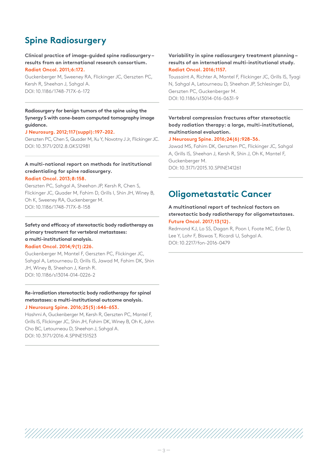# **Spine Radiosurgery**

#### **Clinical practice of image-guided spine radiosurgery – results from an international research consortium. Radiat Oncol. 2011;6:172.**

Guckenberger M, Sweeney RA, Flickinger JC, Gerszten PC, Kersh R, Sheehan J, Sahgal A. DOI: 10.1186/1748-717X-6-172

#### **Radiosurgery for benign tumors of the spine using the Synergy S with cone-beam computed tomography image guidance.**

#### **J Neurosurg. 2012;117(suppl):197-202.**

Gerszten PC, Chen S, Quader M, Xu Y, Novotny J Jr, Flickinger JC. DOI: 10.3171/2012.8.GKS12981

#### **A multi-national report on methods for institutional credentialing for spine radiosurgery. Radiat Oncol. 2013;8:158.**

Gerszten PC, Sahgal A, Sheehan JP, Kersh R, Chen S, Flickinger JC, Quader M, Fahim D, Grills I, Shin JH, Winey B, Oh K, Sweeney RA, Guckenberger M. DOI: 10.1186/1748-717X-8-158

**Safety and efficacy of stereotactic body radiotherapy as primary treatment for vertebral metastases: a multi-institutional analysis.**

#### **Radiat Oncol. 2014;9(1):226.**

Guckenberger M, Mantel F, Gerszten PC, Flickinger JC, Sahgal A, Letourneau D, Grills IS, Jawad M, Fahim DK, Shin JH, Winey B, Sheehan J, Kersh R. DOI: 10.1186/s13014-014-0226-2

#### **Re-irradiation stereotactic body radiotherapy for spinal metastases: a multi-institutional outcome analysis. J Neurosurg Spine. 2016;25(5):646-653.**

Hashmi A, Guckenberger M, Kersh R, Gerszten PC, Mantel F, Grills IS, Flickinger JC, Shin JH, Fahim DK, Winey B, Oh K, John Cho BC, Letourneau D, Sheehan J, Sahgal A. DOI: 10.3171/2016.4.SPINE151523

#### **Variability in spine radiosurgery treatment planning – results of an international multi-institutional study. Radiat Oncol. 2016;1157.**

Toussaint A, Richter A, Mantel F, Flickinger JC, Grills IS, Tyagi N, Sahgal A, Letourneau D, Sheehan JP, Schlesinger DJ, Gerszten PC, Guckenberger M. DOI: 10.1186/s13014-016-0631-9

#### **Vertebral compression fractures after stereotactic body radiation therapy: a large, multi-institutional, multinational evaluation.**

#### **J Neurosurg Spine. 2016;24(6):928-36.**

Jawad MS, Fahim DK, Gerszten PC, Flickinger JC, Sahgal A, Grills IS, Sheehan J, Kersh R, Shin J, Oh K, Mantel F, Guckenberger M. DOI: 10.3171/2015.10.SPINE141261

## **Oligometastatic Cancer**

#### **A multinational report of technical factors on stereotactic body radiotherapy for oligometastases. Future Oncol. 2017;13(12).**

Redmond KJ, Lo SS, Dagan R, Poon I, Foote MC, Erler D, Lee Y, Lohr F, Biswas T, Ricardi U, Sahgal A. DOI: 10.2217/fon-2016-0479